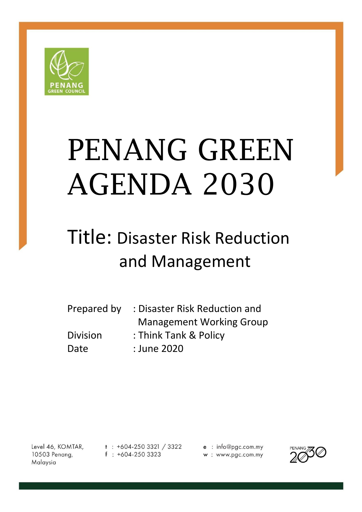

# PENANG GREEN AGENDA 2030

# Title: Disaster Risk Reduction and Management

| Prepared by     | : Disaster Risk Reduction and   |
|-----------------|---------------------------------|
|                 | <b>Management Working Group</b> |
| <b>Division</b> | : Think Tank & Policy           |
| Date            | : June 2020                     |

Level 46, KOMTAR, 10503 Penang, Malaysia

 $t$  : +604-250 3321 / 3322  $f : +604-2503323$ 

e : info@pgc.com.my w: www.pgc.com.my

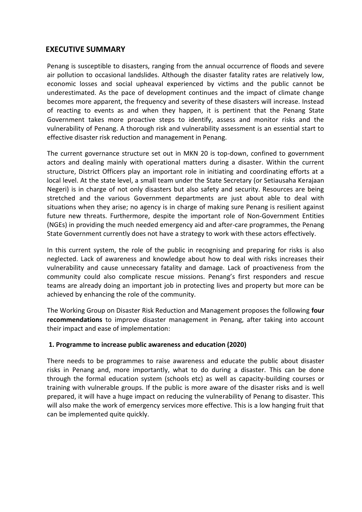## **EXECUTIVE SUMMARY**

Penang is susceptible to disasters, ranging from the annual occurrence of floods and severe air pollution to occasional landslides. Although the disaster fatality rates are relatively low, economic losses and social upheaval experienced by victims and the public cannot be underestimated. As the pace of development continues and the impact of climate change becomes more apparent, the frequency and severity of these disasters will increase. Instead of reacting to events as and when they happen, it is pertinent that the Penang State Government takes more proactive steps to identify, assess and monitor risks and the vulnerability of Penang. A thorough risk and vulnerability assessment is an essential start to effective disaster risk reduction and management in Penang.

The current governance structure set out in MKN 20 is top-down, confined to government actors and dealing mainly with operational matters during a disaster. Within the current structure, District Officers play an important role in initiating and coordinating efforts at a local level. At the state level, a small team under the State Secretary (or Setiausaha Kerajaan Negeri) is in charge of not only disasters but also safety and security. Resources are being stretched and the various Government departments are just about able to deal with situations when they arise; no agency is in charge of making sure Penang is resilient against future new threats. Furthermore, despite the important role of Non-Government Entities (NGEs) in providing the much needed emergency aid and after-care programmes, the Penang State Government currently does not have a strategy to work with these actors effectively.

In this current system, the role of the public in recognising and preparing for risks is also neglected. Lack of awareness and knowledge about how to deal with risks increases their vulnerability and cause unnecessary fatality and damage. Lack of proactiveness from the community could also complicate rescue missions. Penang's first responders and rescue teams are already doing an important job in protecting lives and property but more can be achieved by enhancing the role of the community.

The Working Group on Disaster Risk Reduction and Management proposes the following **four recommendations** to improve disaster management in Penang, after taking into account their impact and ease of implementation:

#### **1. Programme to increase public awareness and education (2020)**

There needs to be programmes to raise awareness and educate the public about disaster risks in Penang and, more importantly, what to do during a disaster. This can be done through the formal education system (schools etc) as well as capacity-building courses or training with vulnerable groups. If the public is more aware of the disaster risks and is well prepared, it will have a huge impact on reducing the vulnerability of Penang to disaster. This will also make the work of emergency services more effective. This is a low hanging fruit that can be implemented quite quickly.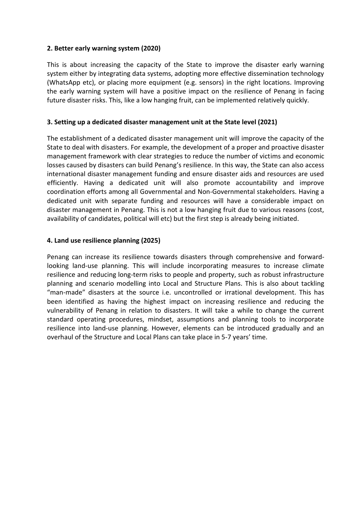#### **2. Better early warning system (2020)**

This is about increasing the capacity of the State to improve the disaster early warning system either by integrating data systems, adopting more effective dissemination technology (WhatsApp etc), or placing more equipment (e.g. sensors) in the right locations. Improving the early warning system will have a positive impact on the resilience of Penang in facing future disaster risks. This, like a low hanging fruit, can be implemented relatively quickly.

#### **3. Setting up a dedicated disaster management unit at the State level (2021)**

The establishment of a dedicated disaster management unit will improve the capacity of the State to deal with disasters. For example, the development of a proper and proactive disaster management framework with clear strategies to reduce the number of victims and economic losses caused by disasters can build Penang's resilience. In this way, the State can also access international disaster management funding and ensure disaster aids and resources are used efficiently. Having a dedicated unit will also promote accountability and improve coordination efforts among all Governmental and Non-Governmental stakeholders. Having a dedicated unit with separate funding and resources will have a considerable impact on disaster management in Penang. This is not a low hanging fruit due to various reasons (cost, availability of candidates, political will etc) but the first step is already being initiated.

#### **4. Land use resilience planning (2025)**

Penang can increase its resilience towards disasters through comprehensive and forwardlooking land-use planning. This will include incorporating measures to increase climate resilience and reducing long-term risks to people and property, such as robust infrastructure planning and scenario modelling into Local and Structure Plans. This is also about tackling "man-made" disasters at the source i.e. uncontrolled or irrational development. This has been identified as having the highest impact on increasing resilience and reducing the vulnerability of Penang in relation to disasters. It will take a while to change the current standard operating procedures, mindset, assumptions and planning tools to incorporate resilience into land-use planning. However, elements can be introduced gradually and an overhaul of the Structure and Local Plans can take place in 5-7 years' time.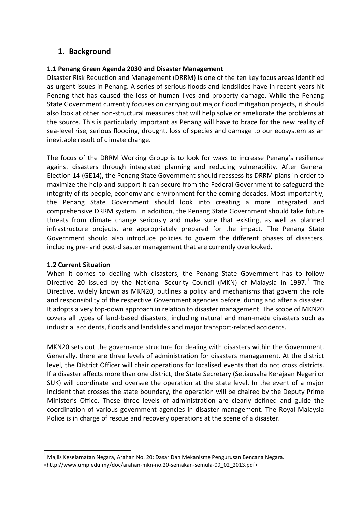# **1. Background**

#### **1.1 Penang Green Agenda 2030 and Disaster Management**

Disaster Risk Reduction and Management (DRRM) is one of the ten key focus areas identified as urgent issues in Penang. A series of serious floods and landslides have in recent years hit Penang that has caused the loss of human lives and property damage. While the Penang State Government currently focuses on carrying out major flood mitigation projects, it should also look at other non-structural measures that will help solve or ameliorate the problems at the source. This is particularly important as Penang will have to brace for the new reality of sea-level rise, serious flooding, drought, loss of species and damage to our ecosystem as an inevitable result of climate change.

The focus of the DRRM Working Group is to look for ways to increase Penang's resilience against disasters through integrated planning and reducing vulnerability. After General Election 14 (GE14), the Penang State Government should reassess its DRRM plans in order to maximize the help and support it can secure from the Federal Government to safeguard the integrity of its people, economy and environment for the coming decades. Most importantly, the Penang State Government should look into creating a more integrated and comprehensive DRRM system. In addition, the Penang State Government should take future threats from climate change seriously and make sure that existing, as well as planned infrastructure projects, are appropriately prepared for the impact. The Penang State Government should also introduce policies to govern the different phases of disasters, including pre- and post-disaster management that are currently overlooked.

#### **1.2 Current Situation**

 $\overline{a}$ 

When it comes to dealing with disasters, the Penang State Government has to follow Directive 20 issued by the National Security Council (MKN) of Malaysia in 1997. $1$  The Directive, widely known as MKN20, outlines a policy and mechanisms that govern the role and responsibility of the respective Government agencies before, during and after a disaster. It adopts a very top-down approach in relation to disaster management. The scope of MKN20 covers all types of land-based disasters, including natural and man-made disasters such as industrial accidents, floods and landslides and major transport-related accidents.

MKN20 sets out the governance structure for dealing with disasters within the Government. Generally, there are three levels of administration for disasters management. At the district level, the District Officer will chair operations for localised events that do not cross districts. If a disaster affects more than one district, the State Secretary (Setiausaha Kerajaan Negeri or SUK) will coordinate and oversee the operation at the state level. In the event of a major incident that crosses the state boundary, the operation will be chaired by the Deputy Prime Minister's Office. These three levels of administration are clearly defined and guide the coordination of various government agencies in disaster management. The Royal Malaysia Police is in charge of rescue and recovery operations at the scene of a disaster.

 $1$  Majlis Keselamatan Negara, Arahan No. 20: Dasar Dan Mekanisme Pengurusan Bencana Negara.

<sup>&</sup>lt;http://www.ump.edu.my/doc/arahan-mkn-no.20-semakan-semula-09\_02\_2013.pdf>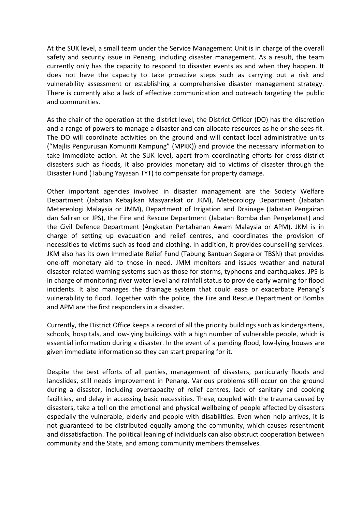At the SUK level, a small team under the Service Management Unit is in charge of the overall safety and security issue in Penang, including disaster management. As a result, the team currently only has the capacity to respond to disaster events as and when they happen. It does not have the capacity to take proactive steps such as carrying out a risk and vulnerability assessment or establishing a comprehensive disaster management strategy. There is currently also a lack of effective communication and outreach targeting the public and communities.

As the chair of the operation at the district level, the District Officer (DO) has the discretion and a range of powers to manage a disaster and can allocate resources as he or she sees fit. The DO will coordinate activities on the ground and will contact local administrative units ("Majlis Pengurusan Komuniti Kampung" (MPKK)) and provide the necessary information to take immediate action. At the SUK level, apart from coordinating efforts for cross-district disasters such as floods, it also provides monetary aid to victims of disaster through the Disaster Fund (Tabung Yayasan TYT) to compensate for property damage.

Other important agencies involved in disaster management are the Society Welfare Department (Jabatan Kebajikan Masyarakat or JKM), Meteorology Department (Jabatan Metereologi Malaysia or JMM), Department of Irrigation and Drainage (Jabatan Pengairan dan Saliran or JPS), the Fire and Rescue Department (Jabatan Bomba dan Penyelamat) and the Civil Defence Department (Angkatan Pertahanan Awam Malaysia or APM). JKM is in charge of setting up evacuation and relief centres, and coordinates the provision of necessities to victims such as food and clothing. In addition, it provides counselling services. JKM also has its own Immediate Relief Fund (Tabung Bantuan Segera or TBSN) that provides one-off monetary aid to those in need. JMM monitors and issues weather and natural disaster-related warning systems such as those for storms, typhoons and earthquakes. JPS is in charge of monitoring river water level and rainfall status to provide early warning for flood incidents. It also manages the drainage system that could ease or exacerbate Penang's vulnerability to flood. Together with the police, the Fire and Rescue Department or Bomba and APM are the first responders in a disaster.

Currently, the District Office keeps a record of all the priority buildings such as kindergartens, schools, hospitals, and low-lying buildings with a high number of vulnerable people, which is essential information during a disaster. In the event of a pending flood, low-lying houses are given immediate information so they can start preparing for it.

Despite the best efforts of all parties, management of disasters, particularly floods and landslides, still needs improvement in Penang. Various problems still occur on the ground during a disaster, including overcapacity of relief centres, lack of sanitary and cooking facilities, and delay in accessing basic necessities. These, coupled with the trauma caused by disasters, take a toll on the emotional and physical wellbeing of people affected by disasters especially the vulnerable, elderly and people with disabilities. Even when help arrives, it is not guaranteed to be distributed equally among the community, which causes resentment and dissatisfaction. The political leaning of individuals can also obstruct cooperation between community and the State, and among community members themselves.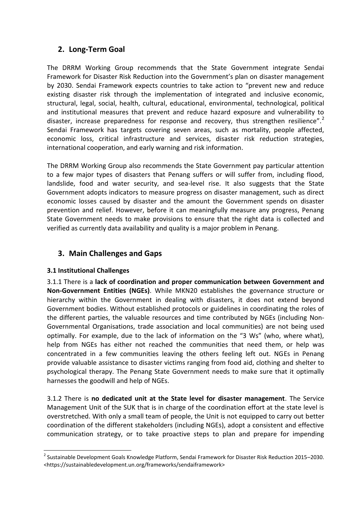# **2. Long-Term Goal**

The DRRM Working Group recommends that the State Government integrate Sendai Framework for Disaster Risk Reduction into the Government's plan on disaster management by 2030. Sendai Framework expects countries to take action to "prevent new and reduce existing disaster risk through the implementation of integrated and inclusive economic, structural, legal, social, health, cultural, educational, environmental, technological, political and institutional measures that prevent and reduce hazard exposure and vulnerability to disaster, increase preparedness for response and recovery, thus strengthen resilience".<sup>2</sup> Sendai Framework has targets covering seven areas, such as mortality, people affected, economic loss, critical infrastructure and services, disaster risk reduction strategies, international cooperation, and early warning and risk information.

The DRRM Working Group also recommends the State Government pay particular attention to a few major types of disasters that Penang suffers or will suffer from, including flood, landslide, food and water security, and sea-level rise. It also suggests that the State Government adopts indicators to measure progress on disaster management, such as direct economic losses caused by disaster and the amount the Government spends on disaster prevention and relief. However, before it can meaningfully measure any progress, Penang State Government needs to make provisions to ensure that the right data is collected and verified as currently data availability and quality is a major problem in Penang.

# **3. Main Challenges and Gaps**

#### **3.1 Institutional Challenges**

3.1.1 There is a **lack of coordination and proper communication between Government and Non-Government Entities (NGEs)**. While MKN20 establishes the governance structure or hierarchy within the Government in dealing with disasters, it does not extend beyond Government bodies. Without established protocols or guidelines in coordinating the roles of the different parties, the valuable resources and time contributed by NGEs (including Non-Governmental Organisations, trade association and local communities) are not being used optimally. For example, due to the lack of information on the "3 Ws" (who, where what), help from NGEs has either not reached the communities that need them, or help was concentrated in a few communities leaving the others feeling left out. NGEs in Penang provide valuable assistance to disaster victims ranging from food aid, clothing and shelter to psychological therapy. The Penang State Government needs to make sure that it optimally harnesses the goodwill and help of NGEs.

3.1.2 There is **no dedicated unit at the State level for disaster management**. The Service Management Unit of the SUK that is in charge of the coordination effort at the state level is overstretched. With only a small team of people, the Unit is not equipped to carry out better coordination of the different stakeholders (including NGEs), adopt a consistent and effective communication strategy, or to take proactive steps to plan and prepare for impending

 $\overline{a}$ <sup>2</sup> Sustainable Development Goals Knowledge Platform, Sendai Framework for Disaster Risk Reduction 2015–2030. <https://sustainabledevelopment.un.org/frameworks/sendaiframework>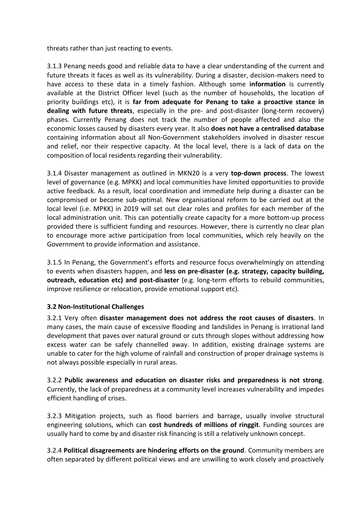threats rather than just reacting to events.

3.1.3 Penang needs good and reliable data to have a clear understanding of the current and future threats it faces as well as its vulnerability. During a disaster, decision-makers need to have access to these data in a timely fashion. Although some **information** is currently available at the District Officer level (such as the number of households, the location of priority buildings etc), it is **far from adequate for Penang to take a proactive stance in dealing with future threats**, especially in the pre- and post-disaster (long-term recovery) phases. Currently Penang does not track the number of people affected and also the economic losses caused by disasters every year. It also **does not have a centralised database**  containing information about all Non-Government stakeholders involved in disaster rescue and relief, nor their respective capacity. At the local level, there is a lack of data on the composition of local residents regarding their vulnerability.

3.1.4 Disaster management as outlined in MKN20 is a very **top-down process**. The lowest level of governance (e.g. MPKK) and local communities have limited opportunities to provide active feedback. As a result, local coordination and immediate help during a disaster can be compromised or become sub-optimal. New organisational reform to be carried out at the local level (i.e. MPKK) in 2019 will set out clear roles and profiles for each member of the local administration unit. This can potentially create capacity for a more bottom-up process provided there is sufficient funding and resources. However, there is currently no clear plan to encourage more active participation from local communities, which rely heavily on the Government to provide information and assistance.

3.1.5 In Penang, the Government's efforts and resource focus overwhelmingly on attending to events when disasters happen, and **less on pre-disaster (e.g. strategy, capacity building, outreach, education etc) and post-disaster** (e.g. long-term efforts to rebuild communities, improve resilience or relocation, provide emotional support etc).

#### **3.2 Non-Institutional Challenges**

3.2.1 Very often **disaster management does not address the root causes of disasters**. In many cases, the main cause of excessive flooding and landslides in Penang is irrational land development that paves over natural ground or cuts through slopes without addressing how excess water can be safely channelled away. In addition, existing drainage systems are unable to cater for the high volume of rainfall and construction of proper drainage systems is not always possible especially in rural areas.

3.2.2 **Public awareness and education on disaster risks and preparedness is not strong**. Currently, the lack of preparedness at a community level increases vulnerability and impedes efficient handling of crises.

3.2.3 Mitigation projects, such as flood barriers and barrage, usually involve structural engineering solutions, which can **cost hundreds of millions of ringgit**. Funding sources are usually hard to come by and disaster risk financing is still a relatively unknown concept.

3.2.4 **Political disagreements are hindering efforts on the ground**. Community members are often separated by different political views and are unwilling to work closely and proactively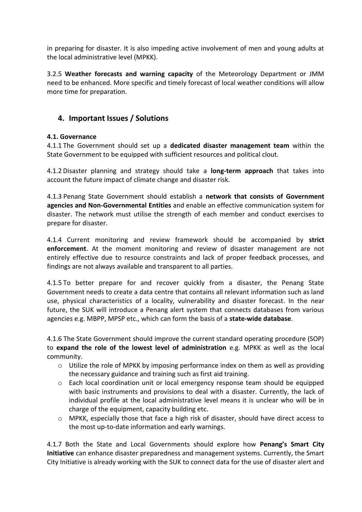in preparing for disaster. It is also impeding active involvement of men and young adults at the local administrative level (MPKK).

3.2.5 **Weather forecasts and warning capacity** of the Meteorology Department or JMM need to be enhanced. More specific and timely forecast of local weather conditions will allow more time for preparation.

# **4. Important Issues / Solutions**

#### **4.1. Governance**

4.1.1 The Government should set up a **dedicated disaster management team** within the State Government to be equipped with sufficient resources and political clout.

4.1.2 Disaster planning and strategy should take a **long-term approach** that takes into account the future impact of climate change and disaster risk.

4.1.3 Penang State Government should establish a **network that consists of Government agencies and Non-Governmental Entities** and enable an effective communication system for disaster. The network must utilise the strength of each member and conduct exercises to prepare for disaster.

4.1.4 Current monitoring and review framework should be accompanied by **strict enforcement**. At the moment monitoring and review of disaster management are not entirely effective due to resource constraints and lack of proper feedback processes, and findings are not always available and transparent to all parties.

4.1.5 To better prepare for and recover quickly from a disaster, the Penang State Government needs to create a data centre that contains all relevant information such as land use, physical characteristics of a locality, vulnerability and disaster forecast. In the near future, the SUK will introduce a Penang alert system that connects databases from various agencies e.g. MBPP, MPSP etc., which can form the basis of a **state-wide database**.

4.1.6 The State Government should improve the current standard operating procedure (SOP) to **expand the role of the lowest level of administration** e.g. MPKK as well as the local community.

- $\circ$  Utilize the role of MPKK by imposing performance index on them as well as providing the necessary guidance and training such as first aid training.
- $\circ$  Each local coordination unit or local emergency response team should be equipped with basic instruments and provisions to deal with a disaster. Currently, the lack of individual profile at the local administrative level means it is unclear who will be in charge of the equipment, capacity building etc.
- $\circ$  MPKK, especially those that face a high risk of disaster, should have direct access to the most up-to-date information and early warnings.

4.1.7 Both the State and Local Governments should explore how **Penang's Smart City Initiative** can enhance disaster preparedness and management systems. Currently, the Smart City Initiative is already working with the SUK to connect data for the use of disaster alert and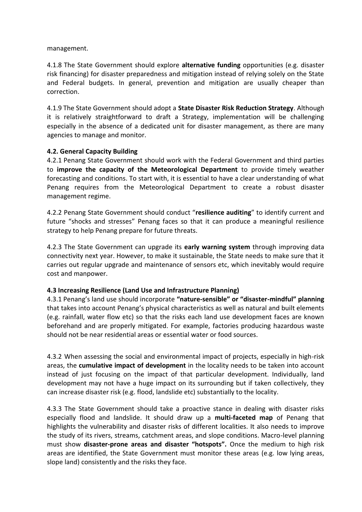management.

4.1.8 The State Government should explore **alternative funding** opportunities (e.g. disaster risk financing) for disaster preparedness and mitigation instead of relying solely on the State and Federal budgets. In general, prevention and mitigation are usually cheaper than correction.

4.1.9 The State Government should adopt a **State Disaster Risk Reduction Strategy**. Although it is relatively straightforward to draft a Strategy, implementation will be challenging especially in the absence of a dedicated unit for disaster management, as there are many agencies to manage and monitor.

#### **4.2. General Capacity Building**

4.2.1 Penang State Government should work with the Federal Government and third parties to **improve the capacity of the Meteorological Department** to provide timely weather forecasting and conditions. To start with, it is essential to have a clear understanding of what Penang requires from the Meteorological Department to create a robust disaster management regime.

4.2.2 Penang State Government should conduct "**resilience auditing**" to identify current and future "shocks and stresses" Penang faces so that it can produce a meaningful resilience strategy to help Penang prepare for future threats.

4.2.3 The State Government can upgrade its **early warning system** through improving data connectivity next year. However, to make it sustainable, the State needs to make sure that it carries out regular upgrade and maintenance of sensors etc, which inevitably would require cost and manpower.

#### **4.3 Increasing Resilience (Land Use and Infrastructure Planning)**

4.3.1 Penang's land use should incorporate **"nature-sensible" or "disaster-mindful" planning**  that takes into account Penang's physical characteristics as well as natural and built elements (e.g. rainfall, water flow etc) so that the risks each land use development faces are known beforehand and are properly mitigated. For example, factories producing hazardous waste should not be near residential areas or essential water or food sources.

4.3.2 When assessing the social and environmental impact of projects, especially in high-risk areas, the **cumulative impact of development** in the locality needs to be taken into account instead of just focusing on the impact of that particular development. Individually, land development may not have a huge impact on its surrounding but if taken collectively, they can increase disaster risk (e.g. flood, landslide etc) substantially to the locality.

4.3.3 The State Government should take a proactive stance in dealing with disaster risks especially flood and landslide. It should draw up a **multi-faceted map** of Penang that highlights the vulnerability and disaster risks of different localities. It also needs to improve the study of its rivers, streams, catchment areas, and slope conditions. Macro-level planning must show **disaster-prone areas and disaster "hotspots".** Once the medium to high risk areas are identified, the State Government must monitor these areas (e.g. low lying areas, slope land) consistently and the risks they face.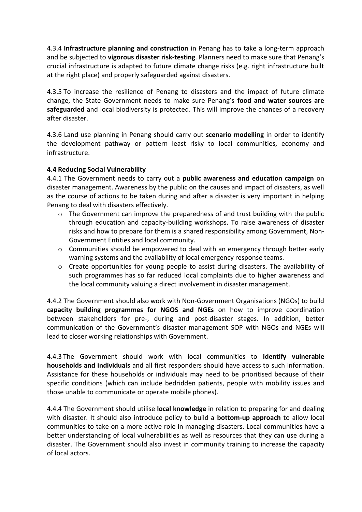4.3.4 **Infrastructure planning and construction** in Penang has to take a long-term approach and be subjected to **vigorous disaster risk-testing**. Planners need to make sure that Penang's crucial infrastructure is adapted to future climate change risks (e.g. right infrastructure built at the right place) and properly safeguarded against disasters.

4.3.5 To increase the resilience of Penang to disasters and the impact of future climate change, the State Government needs to make sure Penang's **food and water sources are safeguarded** and local biodiversity is protected. This will improve the chances of a recovery after disaster.

4.3.6 Land use planning in Penang should carry out **scenario modelling** in order to identify the development pathway or pattern least risky to local communities, economy and infrastructure.

#### **4.4 Reducing Social Vulnerability**

4.4.1 The Government needs to carry out a **public awareness and education campaign** on disaster management. Awareness by the public on the causes and impact of disasters, as well as the course of actions to be taken during and after a disaster is very important in helping Penang to deal with disasters effectively.

- $\circ$  The Government can improve the preparedness of and trust building with the public through education and capacity-building workshops. To raise awareness of disaster risks and how to prepare for them is a shared responsibility among Government, Non-Government Entities and local community.
- o Communities should be empowered to deal with an emergency through better early warning systems and the availability of local emergency response teams.
- o Create opportunities for young people to assist during disasters. The availability of such programmes has so far reduced local complaints due to higher awareness and the local community valuing a direct involvement in disaster management.

4.4.2 The Government should also work with Non-Government Organisations (NGOs) to build **capacity building programmes for NGOS and NGEs** on how to improve coordination between stakeholders for pre-, during and post-disaster stages. In addition, better communication of the Government's disaster management SOP with NGOs and NGEs will lead to closer working relationships with Government.

4.4.3 The Government should work with local communities to **identify vulnerable households and individuals** and all first responders should have access to such information. Assistance for these households or individuals may need to be prioritised because of their specific conditions (which can include bedridden patients, people with mobility issues and those unable to communicate or operate mobile phones).

4.4.4 The Government should utilise **local knowledge** in relation to preparing for and dealing with disaster. It should also introduce policy to build a **bottom-up approach** to allow local communities to take on a more active role in managing disasters. Local communities have a better understanding of local vulnerabilities as well as resources that they can use during a disaster. The Government should also invest in community training to increase the capacity of local actors.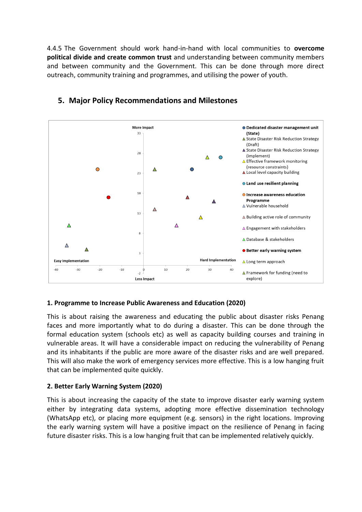4.4.5 The Government should work hand-in-hand with local communities to **overcome political divide and create common trust** and understanding between community members and between community and the Government. This can be done through more direct outreach, community training and programmes, and utilising the power of youth.



# **5. Major Policy Recommendations and Milestones**

# **1. Programme to Increase Public Awareness and Education (2020)**

This is about raising the awareness and educating the public about disaster risks Penang faces and more importantly what to do during a disaster. This can be done through the formal education system (schools etc) as well as capacity building courses and training in vulnerable areas. It will have a considerable impact on reducing the vulnerability of Penang and its inhabitants if the public are more aware of the disaster risks and are well prepared. This will also make the work of emergency services more effective. This is a low hanging fruit that can be implemented quite quickly.

#### **2. Better Early Warning System (2020)**

This is about increasing the capacity of the state to improve disaster early warning system either by integrating data systems, adopting more effective dissemination technology (WhatsApp etc), or placing more equipment (e.g. sensors) in the right locations. Improving the early warning system will have a positive impact on the resilience of Penang in facing future disaster risks. This is a low hanging fruit that can be implemented relatively quickly.